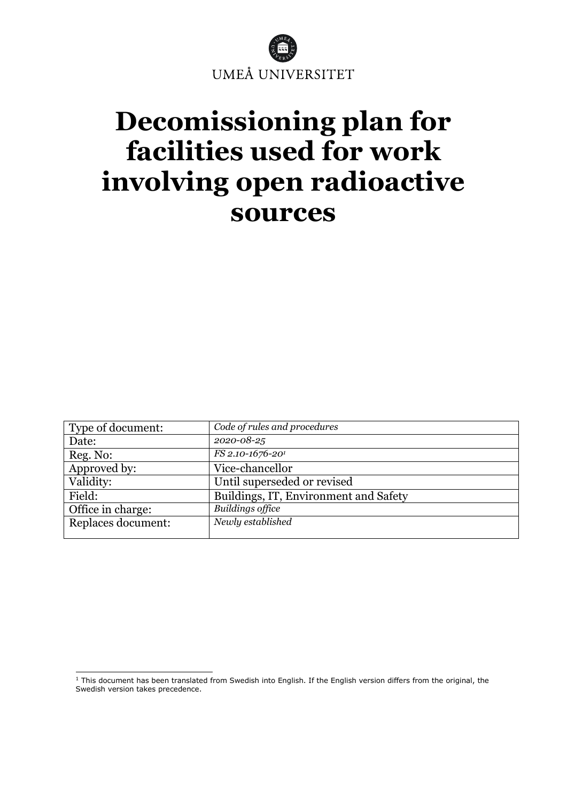

# **Decomissioning plan for facilities used for work involving open radioactive sources**

| Type of document:  | Code of rules and procedures          |
|--------------------|---------------------------------------|
| Date:              | 2020-08-25                            |
| Reg. No:           | FS 2.10-1676-20 <sup>1</sup>          |
| Approved by:       | Vice-chancellor                       |
| Validity:          | Until superseded or revised           |
| Field:             | Buildings, IT, Environment and Safety |
| Office in charge:  | <b>Buildings office</b>               |
| Replaces document: | Newly established                     |

<sup>&</sup>lt;sup>1</sup> This document has been translated from Swedish into English. If the English version differs from the original, the Swedish version takes precedence.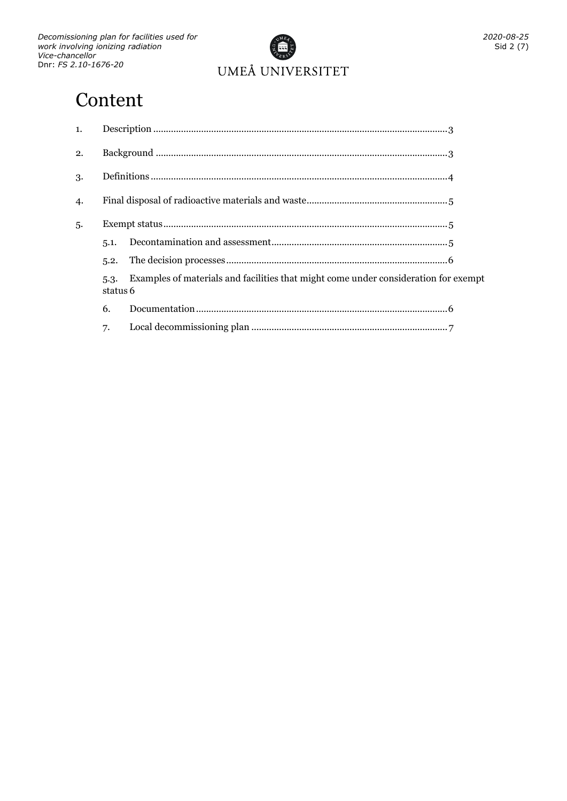

# **Content**

| 1.  |                  |                                                                                     |  |
|-----|------------------|-------------------------------------------------------------------------------------|--|
| 2.  |                  |                                                                                     |  |
| 3.  |                  |                                                                                     |  |
| 4.  |                  |                                                                                     |  |
| .5. |                  |                                                                                     |  |
|     | 5.1.             |                                                                                     |  |
|     | 5.2.             |                                                                                     |  |
|     | 5.3.<br>status 6 | Examples of materials and facilities that might come under consideration for exempt |  |
|     | 6.               |                                                                                     |  |
|     | 7.               |                                                                                     |  |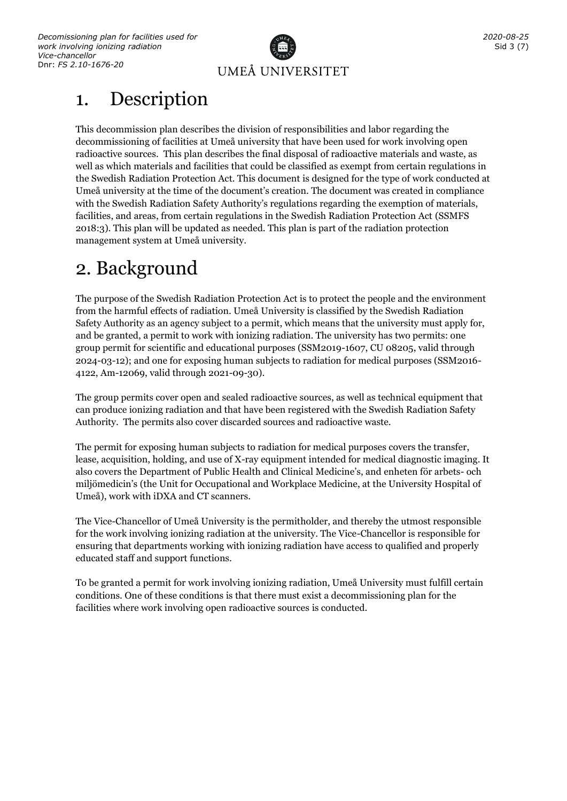

# <span id="page-2-0"></span>1. Description

This decommission plan describes the division of responsibilities and labor regarding the decommissioning of facilities at Umeå university that have been used for work involving open radioactive sources. This plan describes the final disposal of radioactive materials and waste, as well as which materials and facilities that could be classified as exempt from certain regulations in the Swedish Radiation Protection Act. This document is designed for the type of work conducted at Umeå university at the time of the document's creation. The document was created in compliance with the Swedish Radiation Safety Authority's regulations regarding the exemption of materials, facilities, and areas, from certain regulations in the Swedish Radiation Protection Act (SSMFS 2018:3). This plan will be updated as needed. This plan is part of the radiation protection management system at Umeå university.

# <span id="page-2-1"></span>2. Background

The purpose of the Swedish Radiation Protection Act is to protect the people and the environment from the harmful effects of radiation. Umeå University is classified by the Swedish Radiation Safety Authority as an agency subject to a permit, which means that the university must apply for, and be granted, a permit to work with ionizing radiation. The university has two permits: one group permit for scientific and educational purposes (SSM2019-1607, CU 08205, valid through 2024-03-12); and one for exposing human subjects to radiation for medical purposes (SSM2016- 4122, Am-12069, valid through 2021-09-30).

The group permits cover open and sealed radioactive sources, as well as technical equipment that can produce ionizing radiation and that have been registered with the Swedish Radiation Safety Authority. The permits also cover discarded sources and radioactive waste.

The permit for exposing human subjects to radiation for medical purposes covers the transfer, lease, acquisition, holding, and use of X-ray equipment intended for medical diagnostic imaging. It also covers the Department of Public Health and Clinical Medicine's, and enheten för arbets- och miljömedicin's (the Unit for Occupational and Workplace Medicine, at the University Hospital of Umeå), work with iDXA and CT scanners.

The Vice-Chancellor of Umeå University is the permitholder, and thereby the utmost responsible for the work involving ionizing radiation at the university. The Vice-Chancellor is responsible for ensuring that departments working with ionizing radiation have access to qualified and properly educated staff and support functions.

To be granted a permit for work involving ionizing radiation, Umeå University must fulfill certain conditions. One of these conditions is that there must exist a decommissioning plan for the facilities where work involving open radioactive sources is conducted.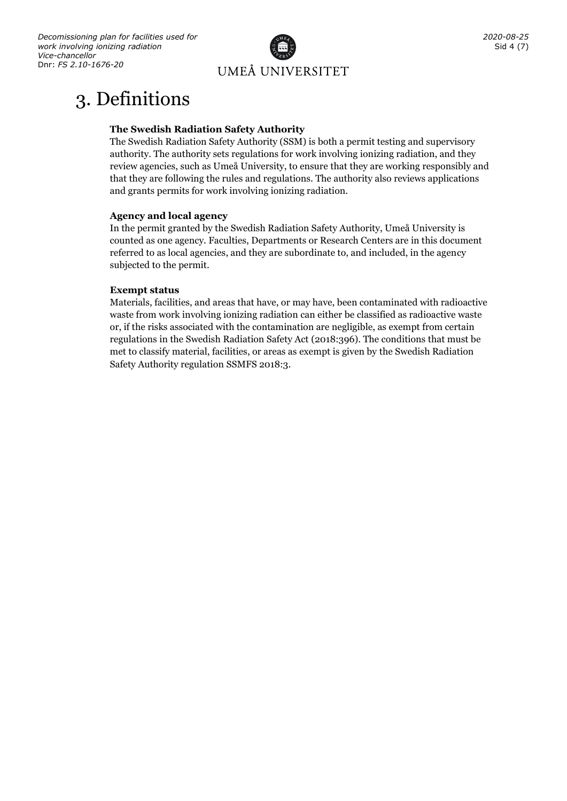

# <span id="page-3-0"></span>3. Definitions

#### **The Swedish Radiation Safety Authority**

The Swedish Radiation Safety Authority (SSM) is both a permit testing and supervisory authority. The authority sets regulations for work involving ionizing radiation, and they review agencies, such as Umeå University, to ensure that they are working responsibly and that they are following the rules and regulations. The authority also reviews applications and grants permits for work involving ionizing radiation.

#### **Agency and local agency**

In the permit granted by the Swedish Radiation Safety Authority, Umeå University is counted as one agency. Faculties, Departments or Research Centers are in this document referred to as local agencies, and they are subordinate to, and included, in the agency subjected to the permit.

#### **Exempt status**

Materials, facilities, and areas that have, or may have, been contaminated with radioactive waste from work involving ionizing radiation can either be classified as radioactive waste or, if the risks associated with the contamination are negligible, as exempt from certain regulations in the Swedish Radiation Safety Act (2018:396). The conditions that must be met to classify material, facilities, or areas as exempt is given by the Swedish Radiation Safety Authority regulation SSMFS 2018:3.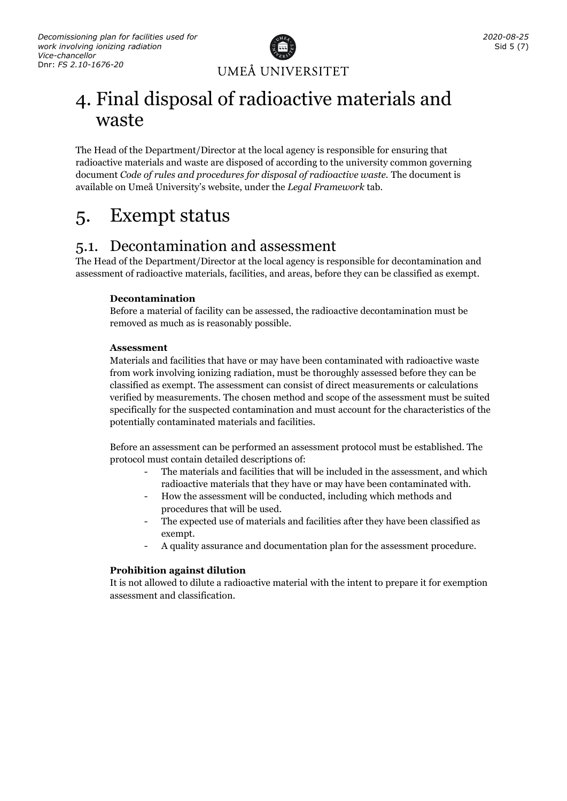

# <span id="page-4-0"></span>4. Final disposal of radioactive materials and waste

The Head of the Department/Director at the local agency is responsible for ensuring that radioactive materials and waste are disposed of according to the university common governing document *Code of rules and procedures for disposal of radioactive waste.* The document is available on Umeå University's website, under the *Legal Framework* tab.

# <span id="page-4-1"></span>5. Exempt status

### <span id="page-4-2"></span>5.1. Decontamination and assessment

The Head of the Department/Director at the local agency is responsible for decontamination and assessment of radioactive materials, facilities, and areas, before they can be classified as exempt.

#### **Decontamination**

Before a material of facility can be assessed, the radioactive decontamination must be removed as much as is reasonably possible.

#### **Assessment**

Materials and facilities that have or may have been contaminated with radioactive waste from work involving ionizing radiation, must be thoroughly assessed before they can be classified as exempt. The assessment can consist of direct measurements or calculations verified by measurements. The chosen method and scope of the assessment must be suited specifically for the suspected contamination and must account for the characteristics of the potentially contaminated materials and facilities.

Before an assessment can be performed an assessment protocol must be established. The protocol must contain detailed descriptions of:

- The materials and facilities that will be included in the assessment, and which radioactive materials that they have or may have been contaminated with.
- How the assessment will be conducted, including which methods and procedures that will be used.
- The expected use of materials and facilities after they have been classified as exempt.
- A quality assurance and documentation plan for the assessment procedure.

#### **Prohibition against dilution**

It is not allowed to dilute a radioactive material with the intent to prepare it for exemption assessment and classification.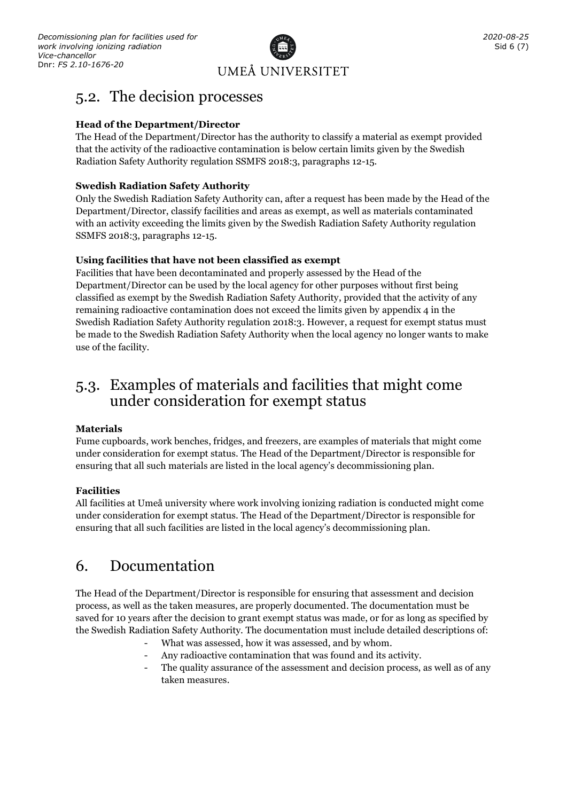

### <span id="page-5-0"></span>5.2. The decision processes

#### **Head of the Department/Director**

The Head of the Department/Director has the authority to classify a material as exempt provided that the activity of the radioactive contamination is below certain limits given by the Swedish Radiation Safety Authority regulation SSMFS 2018:3, paragraphs 12-15.

#### **Swedish Radiation Safety Authority**

Only the Swedish Radiation Safety Authority can, after a request has been made by the Head of the Department/Director, classify facilities and areas as exempt, as well as materials contaminated with an activity exceeding the limits given by the Swedish Radiation Safety Authority regulation SSMFS 2018:3, paragraphs 12-15.

#### **Using facilities that have not been classified as exempt**

Facilities that have been decontaminated and properly assessed by the Head of the Department/Director can be used by the local agency for other purposes without first being classified as exempt by the Swedish Radiation Safety Authority, provided that the activity of any remaining radioactive contamination does not exceed the limits given by appendix  $4$  in the Swedish Radiation Safety Authority regulation 2018:3. However, a request for exempt status must be made to the Swedish Radiation Safety Authority when the local agency no longer wants to make use of the facility.

### <span id="page-5-1"></span>5.3. Examples of materials and facilities that might come under consideration for exempt status

#### **Materials**

Fume cupboards, work benches, fridges, and freezers, are examples of materials that might come under consideration for exempt status. The Head of the Department/Director is responsible for ensuring that all such materials are listed in the local agency's decommissioning plan.

#### **Facilities**

All facilities at Umeå university where work involving ionizing radiation is conducted might come under consideration for exempt status. The Head of the Department/Director is responsible for ensuring that all such facilities are listed in the local agency's decommissioning plan.

### <span id="page-5-2"></span>6. Documentation

The Head of the Department/Director is responsible for ensuring that assessment and decision process, as well as the taken measures, are properly documented. The documentation must be saved for 10 years after the decision to grant exempt status was made, or for as long as specified by the Swedish Radiation Safety Authority. The documentation must include detailed descriptions of:

- What was assessed, how it was assessed, and by whom.
- Any radioactive contamination that was found and its activity.
- The quality assurance of the assessment and decision process, as well as of any taken measures.